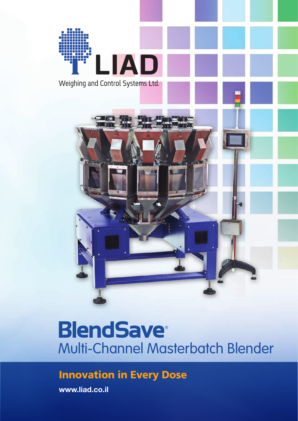

# **BlendSave®** Multi-Channel Masterbatch Blender

### Innovation in Every Dose

**www.liad.co.il**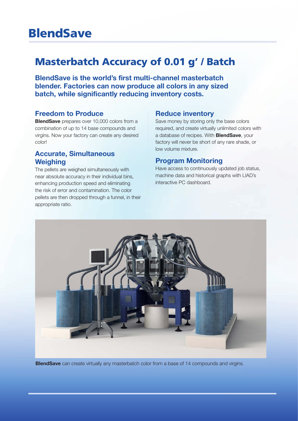## **BlendSave**

### Masterbatch Accuracy of 0.01 g' / Batch

**BlendSave is the world's first multi-channel masterbatch blender. Factories can now produce all colors in any sized batch, while significantly reducing inventory costs.**

#### **Freedom to Produce**

**BlendSave** prepares over 10,000 colors from a combination of up to 14 base compounds and virgins. Now your factory can create any desired color!

#### **Accurate, Simultaneous Weighing**

The pellets are weighed simultaneously with near absolute accuracy in their individual bins, enhancing production speed and eliminating the risk of error and contamination. The color pellets are then dropped through a funnel, in their appropriate ratio.

#### **Reduce inventory**

Save money by storing only the base colors required, and create virtually unlimited colors with a database of recipes. With **BlendSave**, your factory will never be short of any rare shade, or low volume mixture.

#### **Program Monitoring**

Have access to continuously updated job status, machine data and historical graphs with LIAD's interactive PC dashboard.



**BlendSave** can create virtually any masterbatch color from a base of 14 compounds and virgins.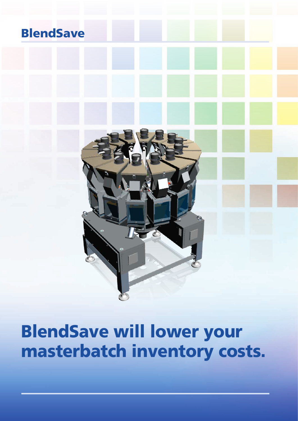## **BlendSave**



# BlendSave will lower your masterbatch inventory costs.